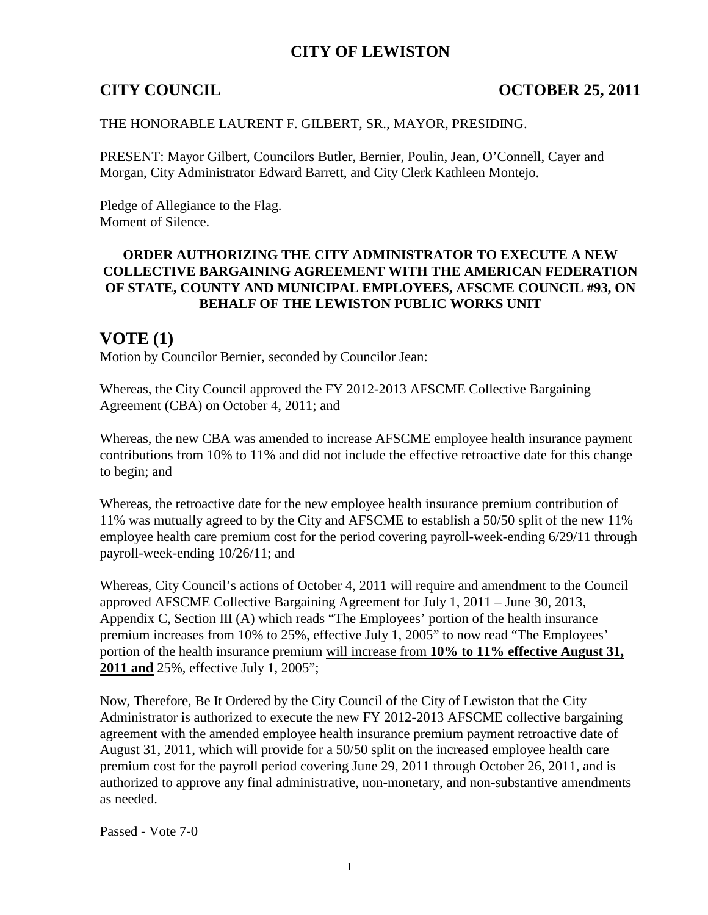# **CITY OF LEWISTON**

## **CITY COUNCIL COUNCIL COUNCIL COUNCIL COUNCIL COUNCIL COUNCIL COUNCIL**

### THE HONORABLE LAURENT F. GILBERT, SR., MAYOR, PRESIDING.

PRESENT: Mayor Gilbert, Councilors Butler, Bernier, Poulin, Jean, O'Connell, Cayer and Morgan, City Administrator Edward Barrett, and City Clerk Kathleen Montejo.

Pledge of Allegiance to the Flag. Moment of Silence.

### **ORDER AUTHORIZING THE CITY ADMINISTRATOR TO EXECUTE A NEW COLLECTIVE BARGAINING AGREEMENT WITH THE AMERICAN FEDERATION OF STATE, COUNTY AND MUNICIPAL EMPLOYEES, AFSCME COUNCIL #93, ON BEHALF OF THE LEWISTON PUBLIC WORKS UNIT**

## **VOTE (1)**

Motion by Councilor Bernier, seconded by Councilor Jean:

Whereas, the City Council approved the FY 2012-2013 AFSCME Collective Bargaining Agreement (CBA) on October 4, 2011; and

Whereas, the new CBA was amended to increase AFSCME employee health insurance payment contributions from 10% to 11% and did not include the effective retroactive date for this change to begin; and

Whereas, the retroactive date for the new employee health insurance premium contribution of 11% was mutually agreed to by the City and AFSCME to establish a 50/50 split of the new 11% employee health care premium cost for the period covering payroll-week-ending 6/29/11 through payroll-week-ending 10/26/11; and

Whereas, City Council's actions of October 4, 2011 will require and amendment to the Council approved AFSCME Collective Bargaining Agreement for July 1, 2011 – June 30, 2013, Appendix C, Section III (A) which reads "The Employees' portion of the health insurance premium increases from 10% to 25%, effective July 1, 2005" to now read "The Employees' portion of the health insurance premium will increase from **10% to 11% effective August 31, 2011 and** 25%, effective July 1, 2005";

Now, Therefore, Be It Ordered by the City Council of the City of Lewiston that the City Administrator is authorized to execute the new FY 2012-2013 AFSCME collective bargaining agreement with the amended employee health insurance premium payment retroactive date of August 31, 2011, which will provide for a 50/50 split on the increased employee health care premium cost for the payroll period covering June 29, 2011 through October 26, 2011, and is authorized to approve any final administrative, non-monetary, and non-substantive amendments as needed.

Passed - Vote 7-0